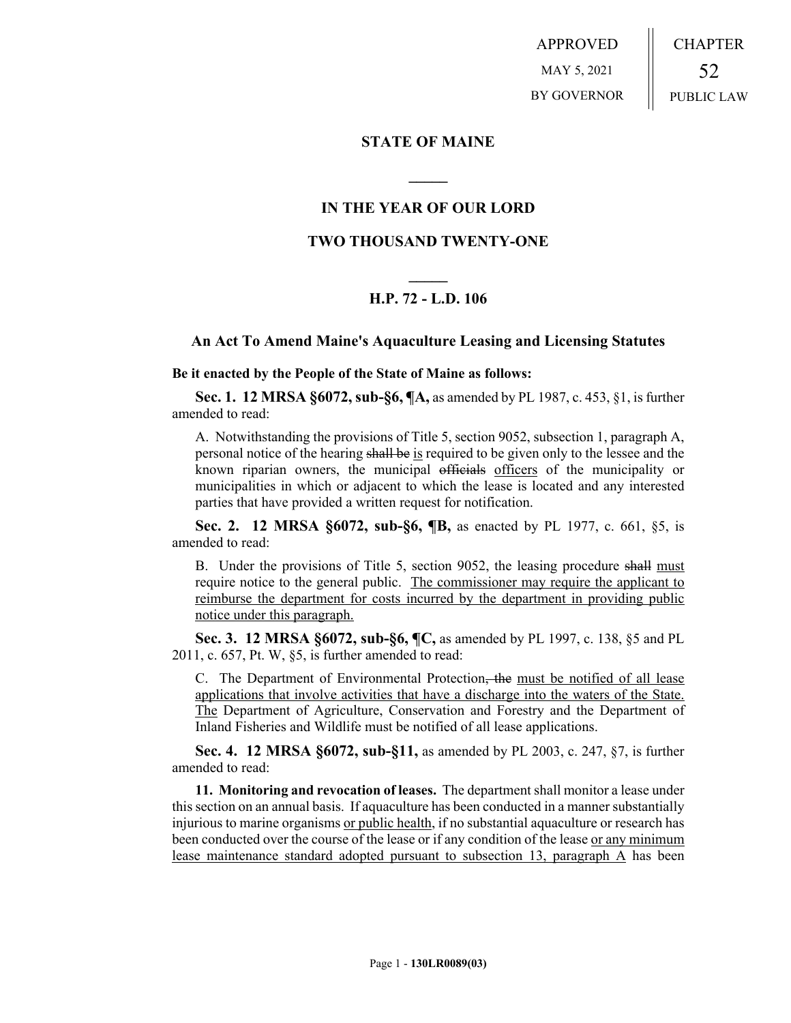APPROVED MAY 5, 2021 BY GOVERNOR CHAPTER 52 PUBLIC LAW

## **STATE OF MAINE**

## **IN THE YEAR OF OUR LORD**

**\_\_\_\_\_**

## **TWO THOUSAND TWENTY-ONE**

# **\_\_\_\_\_ H.P. 72 - L.D. 106**

### **An Act To Amend Maine's Aquaculture Leasing and Licensing Statutes**

**Be it enacted by the People of the State of Maine as follows:**

**Sec. 1. 12 MRSA §6072, sub-§6, ¶A,** as amended by PL 1987, c. 453, §1, is further amended to read:

A. Notwithstanding the provisions of Title 5, section 9052, subsection 1, paragraph A, personal notice of the hearing shall be is required to be given only to the lessee and the known riparian owners, the municipal officials officers of the municipality or municipalities in which or adjacent to which the lease is located and any interested parties that have provided a written request for notification.

**Sec. 2. 12 MRSA §6072, sub-§6, ¶B,** as enacted by PL 1977, c. 661, §5, is amended to read:

B. Under the provisions of Title 5, section 9052, the leasing procedure shall must require notice to the general public. The commissioner may require the applicant to reimburse the department for costs incurred by the department in providing public notice under this paragraph.

**Sec. 3. 12 MRSA §6072, sub-§6, ¶C,** as amended by PL 1997, c. 138, §5 and PL 2011, c. 657, Pt. W, §5, is further amended to read:

C. The Department of Environmental Protection, the must be notified of all lease applications that involve activities that have a discharge into the waters of the State. The Department of Agriculture, Conservation and Forestry and the Department of Inland Fisheries and Wildlife must be notified of all lease applications.

**Sec. 4. 12 MRSA §6072, sub-§11,** as amended by PL 2003, c. 247, §7, is further amended to read:

**11. Monitoring and revocation of leases.** The department shall monitor a lease under this section on an annual basis. If aquaculture has been conducted in a manner substantially injurious to marine organisms or public health, if no substantial aquaculture or research has been conducted over the course of the lease or if any condition of the lease or any minimum lease maintenance standard adopted pursuant to subsection 13, paragraph A has been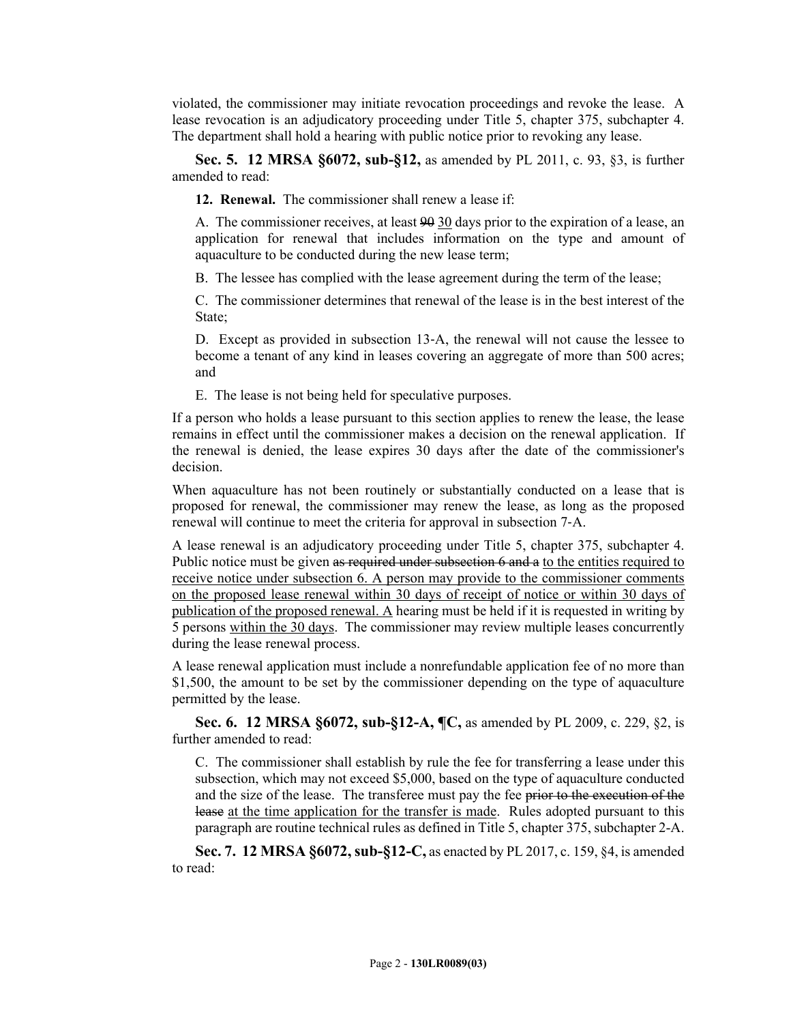violated, the commissioner may initiate revocation proceedings and revoke the lease. A lease revocation is an adjudicatory proceeding under Title 5, chapter 375, subchapter 4. The department shall hold a hearing with public notice prior to revoking any lease.

**Sec. 5. 12 MRSA §6072, sub-§12,** as amended by PL 2011, c. 93, §3, is further amended to read:

**12. Renewal.** The commissioner shall renew a lease if:

A. The commissioner receives, at least 90 30 days prior to the expiration of a lease, an application for renewal that includes information on the type and amount of aquaculture to be conducted during the new lease term;

B. The lessee has complied with the lease agreement during the term of the lease;

C. The commissioner determines that renewal of the lease is in the best interest of the State;

D. Except as provided in subsection 13‑A, the renewal will not cause the lessee to become a tenant of any kind in leases covering an aggregate of more than 500 acres; and

E. The lease is not being held for speculative purposes.

If a person who holds a lease pursuant to this section applies to renew the lease, the lease remains in effect until the commissioner makes a decision on the renewal application. If the renewal is denied, the lease expires 30 days after the date of the commissioner's decision.

When aquaculture has not been routinely or substantially conducted on a lease that is proposed for renewal, the commissioner may renew the lease, as long as the proposed renewal will continue to meet the criteria for approval in subsection 7‑A.

A lease renewal is an adjudicatory proceeding under Title 5, chapter 375, subchapter 4. Public notice must be given as required under subsection 6 and a to the entities required to receive notice under subsection 6. A person may provide to the commissioner comments on the proposed lease renewal within 30 days of receipt of notice or within 30 days of publication of the proposed renewal. A hearing must be held if it is requested in writing by 5 persons within the 30 days. The commissioner may review multiple leases concurrently during the lease renewal process.

A lease renewal application must include a nonrefundable application fee of no more than \$1,500, the amount to be set by the commissioner depending on the type of aquaculture permitted by the lease.

**Sec. 6. 12 MRSA §6072, sub-§12-A, ¶C,** as amended by PL 2009, c. 229, §2, is further amended to read:

C. The commissioner shall establish by rule the fee for transferring a lease under this subsection, which may not exceed \$5,000, based on the type of aquaculture conducted and the size of the lease. The transferee must pay the fee prior to the execution of the lease at the time application for the transfer is made. Rules adopted pursuant to this paragraph are routine technical rules as defined in Title 5, chapter 375, subchapter 2-A.

**Sec. 7. 12 MRSA §6072, sub-§12-C,** as enacted by PL 2017, c. 159, §4, is amended to read: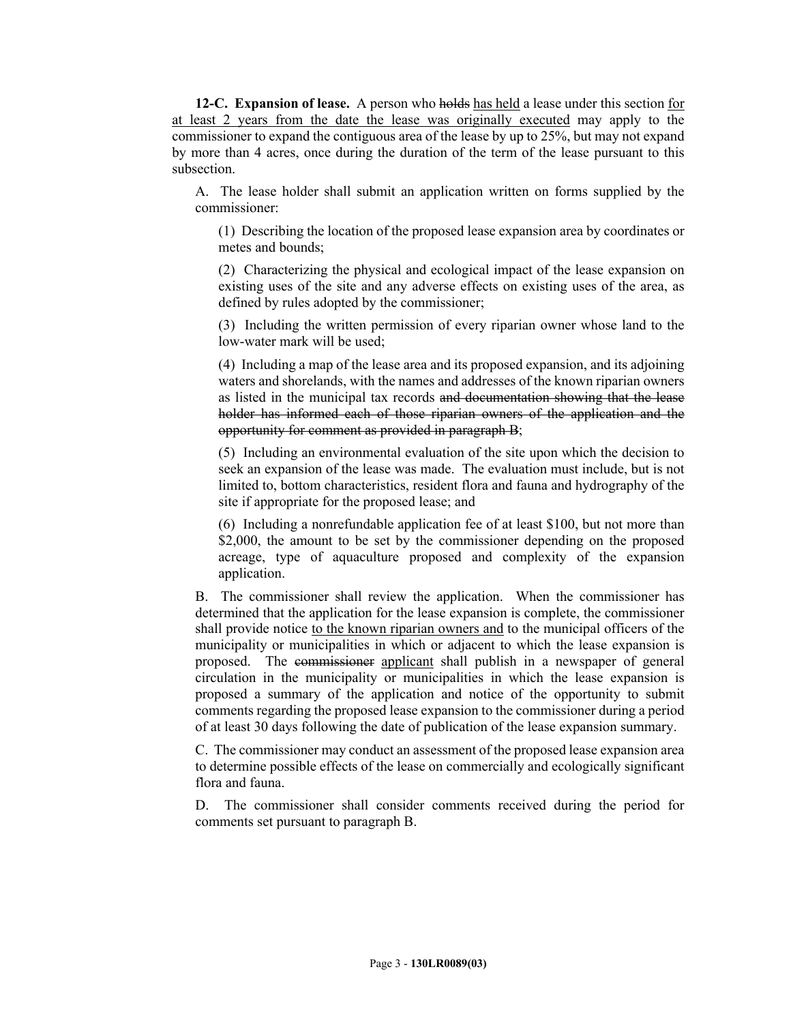**12-C. Expansion of lease.** A person who holds has held a lease under this section for at least 2 years from the date the lease was originally executed may apply to the commissioner to expand the contiguous area of the lease by up to 25%, but may not expand by more than 4 acres, once during the duration of the term of the lease pursuant to this subsection.

A. The lease holder shall submit an application written on forms supplied by the commissioner:

(1) Describing the location of the proposed lease expansion area by coordinates or metes and bounds;

(2) Characterizing the physical and ecological impact of the lease expansion on existing uses of the site and any adverse effects on existing uses of the area, as defined by rules adopted by the commissioner;

(3) Including the written permission of every riparian owner whose land to the low-water mark will be used;

(4) Including a map of the lease area and its proposed expansion, and its adjoining waters and shorelands, with the names and addresses of the known riparian owners as listed in the municipal tax records and documentation showing that the lease holder has informed each of those riparian owners of the application and the opportunity for comment as provided in paragraph B;

(5) Including an environmental evaluation of the site upon which the decision to seek an expansion of the lease was made. The evaluation must include, but is not limited to, bottom characteristics, resident flora and fauna and hydrography of the site if appropriate for the proposed lease; and

(6) Including a nonrefundable application fee of at least \$100, but not more than \$2,000, the amount to be set by the commissioner depending on the proposed acreage, type of aquaculture proposed and complexity of the expansion application.

B. The commissioner shall review the application. When the commissioner has determined that the application for the lease expansion is complete, the commissioner shall provide notice to the known riparian owners and to the municipal officers of the municipality or municipalities in which or adjacent to which the lease expansion is proposed. The commissioner applicant shall publish in a newspaper of general circulation in the municipality or municipalities in which the lease expansion is proposed a summary of the application and notice of the opportunity to submit comments regarding the proposed lease expansion to the commissioner during a period of at least 30 days following the date of publication of the lease expansion summary.

C. The commissioner may conduct an assessment of the proposed lease expansion area to determine possible effects of the lease on commercially and ecologically significant flora and fauna.

D. The commissioner shall consider comments received during the period for comments set pursuant to paragraph B.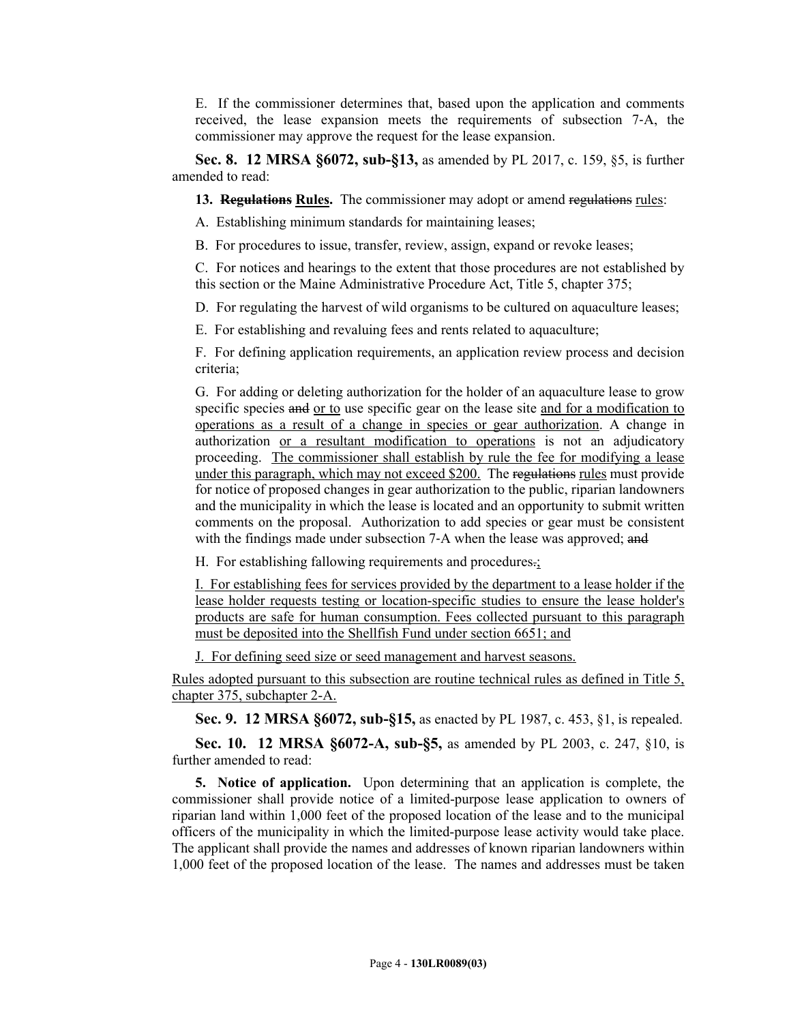E. If the commissioner determines that, based upon the application and comments received, the lease expansion meets the requirements of subsection 7‑A, the commissioner may approve the request for the lease expansion.

**Sec. 8. 12 MRSA §6072, sub-§13,** as amended by PL 2017, c. 159, §5, is further amended to read:

**13. Regulations Rules.** The commissioner may adopt or amend regulations rules:

A. Establishing minimum standards for maintaining leases;

B. For procedures to issue, transfer, review, assign, expand or revoke leases;

C. For notices and hearings to the extent that those procedures are not established by this section or the Maine Administrative Procedure Act, Title 5, chapter 375;

D. For regulating the harvest of wild organisms to be cultured on aquaculture leases;

E. For establishing and revaluing fees and rents related to aquaculture;

F. For defining application requirements, an application review process and decision criteria;

G. For adding or deleting authorization for the holder of an aquaculture lease to grow specific species and or to use specific gear on the lease site and for a modification to operations as a result of a change in species or gear authorization. A change in authorization or a resultant modification to operations is not an adjudicatory proceeding. The commissioner shall establish by rule the fee for modifying a lease under this paragraph, which may not exceed \$200. The regulations rules must provide for notice of proposed changes in gear authorization to the public, riparian landowners and the municipality in which the lease is located and an opportunity to submit written comments on the proposal. Authorization to add species or gear must be consistent with the findings made under subsection 7-A when the lease was approved; and

H. For establishing fallowing requirements and procedures.;

I. For establishing fees for services provided by the department to a lease holder if the lease holder requests testing or location-specific studies to ensure the lease holder's products are safe for human consumption. Fees collected pursuant to this paragraph must be deposited into the Shellfish Fund under section 6651; and

J. For defining seed size or seed management and harvest seasons.

Rules adopted pursuant to this subsection are routine technical rules as defined in Title 5, chapter 375, subchapter 2-A.

**Sec. 9. 12 MRSA §6072, sub-§15,** as enacted by PL 1987, c. 453, §1, is repealed.

**Sec. 10. 12 MRSA §6072-A, sub-§5,** as amended by PL 2003, c. 247, §10, is further amended to read:

**5. Notice of application.** Upon determining that an application is complete, the commissioner shall provide notice of a limited-purpose lease application to owners of riparian land within 1,000 feet of the proposed location of the lease and to the municipal officers of the municipality in which the limited-purpose lease activity would take place. The applicant shall provide the names and addresses of known riparian landowners within 1,000 feet of the proposed location of the lease. The names and addresses must be taken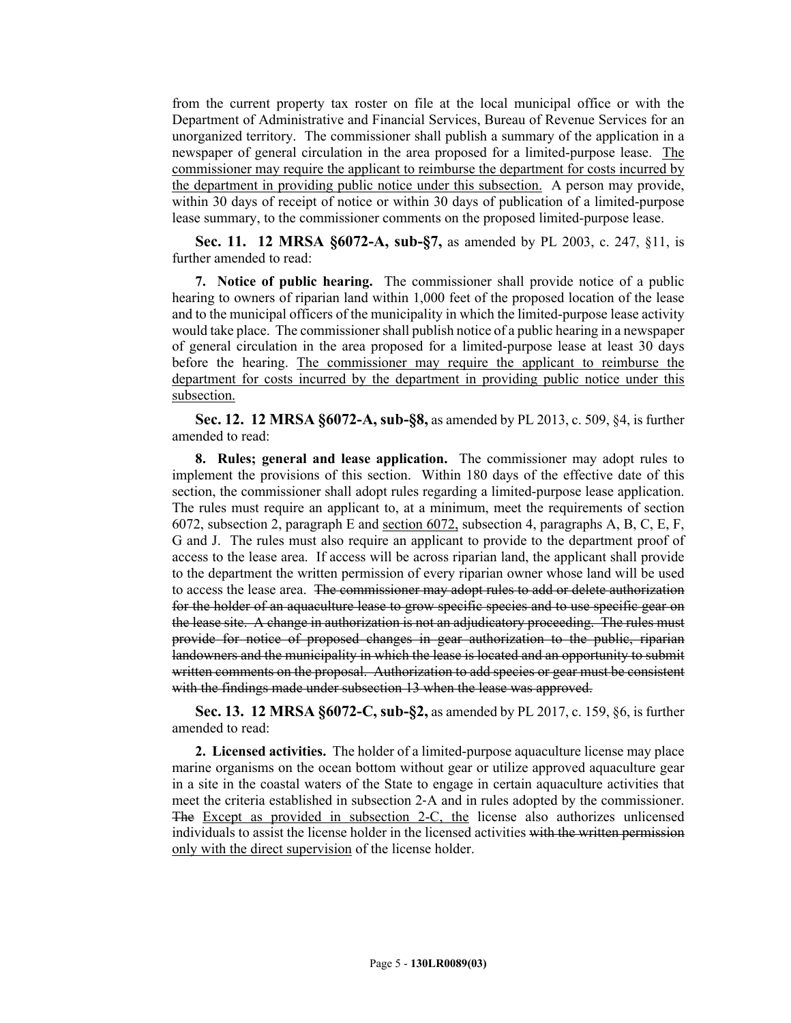from the current property tax roster on file at the local municipal office or with the Department of Administrative and Financial Services, Bureau of Revenue Services for an unorganized territory. The commissioner shall publish a summary of the application in a newspaper of general circulation in the area proposed for a limited-purpose lease. The commissioner may require the applicant to reimburse the department for costs incurred by the department in providing public notice under this subsection. A person may provide, within 30 days of receipt of notice or within 30 days of publication of a limited-purpose lease summary, to the commissioner comments on the proposed limited-purpose lease.

**Sec. 11. 12 MRSA §6072-A, sub-§7,** as amended by PL 2003, c. 247, §11, is further amended to read:

**7. Notice of public hearing.** The commissioner shall provide notice of a public hearing to owners of riparian land within 1,000 feet of the proposed location of the lease and to the municipal officers of the municipality in which the limited-purpose lease activity would take place. The commissioner shall publish notice of a public hearing in a newspaper of general circulation in the area proposed for a limited-purpose lease at least 30 days before the hearing. The commissioner may require the applicant to reimburse the department for costs incurred by the department in providing public notice under this subsection.

**Sec. 12. 12 MRSA §6072-A, sub-§8,** as amended by PL 2013, c. 509, §4, is further amended to read:

**8. Rules; general and lease application.** The commissioner may adopt rules to implement the provisions of this section. Within 180 days of the effective date of this section, the commissioner shall adopt rules regarding a limited-purpose lease application. The rules must require an applicant to, at a minimum, meet the requirements of section 6072, subsection 2, paragraph E and section 6072, subsection 4, paragraphs A, B, C, E, F, G and J. The rules must also require an applicant to provide to the department proof of access to the lease area. If access will be across riparian land, the applicant shall provide to the department the written permission of every riparian owner whose land will be used to access the lease area. The commissioner may adopt rules to add or delete authorization for the holder of an aquaculture lease to grow specific species and to use specific gear on the lease site. A change in authorization is not an adjudicatory proceeding. The rules must provide for notice of proposed changes in gear authorization to the public, riparian landowners and the municipality in which the lease is located and an opportunity to submit written comments on the proposal. Authorization to add species or gear must be consistent with the findings made under subsection 13 when the lease was approved.

**Sec. 13. 12 MRSA §6072-C, sub-§2,** as amended by PL 2017, c. 159, §6, is further amended to read:

**2. Licensed activities.** The holder of a limited-purpose aquaculture license may place marine organisms on the ocean bottom without gear or utilize approved aquaculture gear in a site in the coastal waters of the State to engage in certain aquaculture activities that meet the criteria established in subsection 2‑A and in rules adopted by the commissioner. The Except as provided in subsection 2-C, the license also authorizes unlicensed individuals to assist the license holder in the licensed activities with the written permission only with the direct supervision of the license holder.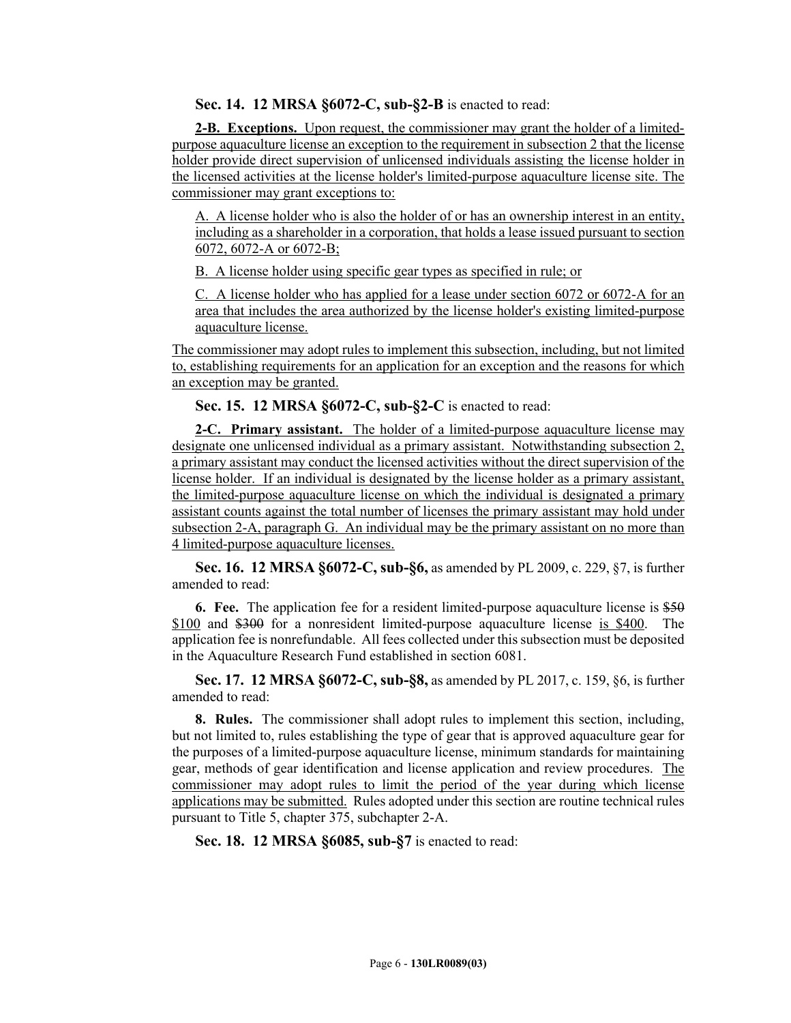**Sec. 14. 12 MRSA §6072-C, sub-§2-B** is enacted to read:

**2-B. Exceptions.** Upon request, the commissioner may grant the holder of a limitedpurpose aquaculture license an exception to the requirement in subsection 2 that the license holder provide direct supervision of unlicensed individuals assisting the license holder in the licensed activities at the license holder's limited-purpose aquaculture license site. The commissioner may grant exceptions to:

A. A license holder who is also the holder of or has an ownership interest in an entity, including as a shareholder in a corporation, that holds a lease issued pursuant to section 6072, 6072-A or 6072-B;

B. A license holder using specific gear types as specified in rule; or

C. A license holder who has applied for a lease under section 6072 or 6072-A for an area that includes the area authorized by the license holder's existing limited-purpose aquaculture license.

The commissioner may adopt rules to implement this subsection, including, but not limited to, establishing requirements for an application for an exception and the reasons for which an exception may be granted.

**Sec. 15. 12 MRSA §6072-C, sub-§2-C** is enacted to read:

**2-C. Primary assistant.** The holder of a limited-purpose aquaculture license may designate one unlicensed individual as a primary assistant. Notwithstanding subsection 2, a primary assistant may conduct the licensed activities without the direct supervision of the license holder. If an individual is designated by the license holder as a primary assistant, the limited-purpose aquaculture license on which the individual is designated a primary assistant counts against the total number of licenses the primary assistant may hold under subsection 2-A, paragraph G. An individual may be the primary assistant on no more than 4 limited-purpose aquaculture licenses.

**Sec. 16. 12 MRSA §6072-C, sub-§6,** as amended by PL 2009, c. 229, §7, is further amended to read:

**6. Fee.** The application fee for a resident limited-purpose aquaculture license is \$50 \$100 and \$300 for a nonresident limited-purpose aquaculture license is \$400. The application fee is nonrefundable. All fees collected under this subsection must be deposited in the Aquaculture Research Fund established in section 6081.

**Sec. 17. 12 MRSA §6072-C, sub-§8,** as amended by PL 2017, c. 159, §6, is further amended to read:

**8. Rules.** The commissioner shall adopt rules to implement this section, including, but not limited to, rules establishing the type of gear that is approved aquaculture gear for the purposes of a limited-purpose aquaculture license, minimum standards for maintaining gear, methods of gear identification and license application and review procedures. The commissioner may adopt rules to limit the period of the year during which license applications may be submitted. Rules adopted under this section are routine technical rules pursuant to Title 5, chapter 375, subchapter 2-A.

**Sec. 18. 12 MRSA §6085, sub-§7** is enacted to read: